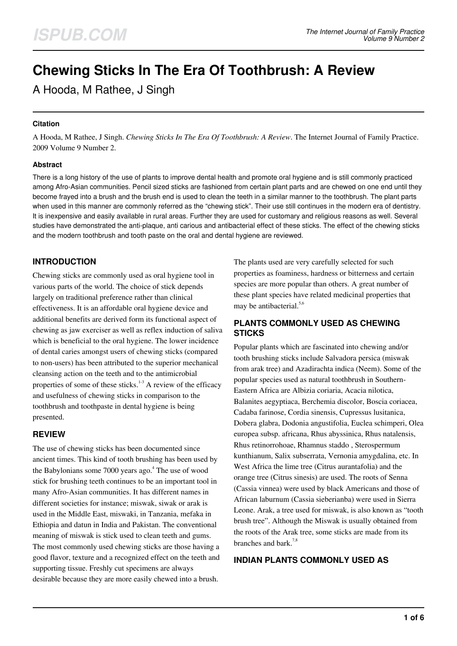# **Chewing Sticks In The Era Of Toothbrush: A Review**

A Hooda, M Rathee, J Singh

#### **Citation**

A Hooda, M Rathee, J Singh. *Chewing Sticks In The Era Of Toothbrush: A Review*. The Internet Journal of Family Practice. 2009 Volume 9 Number 2.

#### **Abstract**

There is a long history of the use of plants to improve dental health and promote oral hygiene and is still commonly practiced among Afro-Asian communities. Pencil sized sticks are fashioned from certain plant parts and are chewed on one end until they become frayed into a brush and the brush end is used to clean the teeth in a similar manner to the toothbrush. The plant parts when used in this manner are commonly referred as the "chewing stick". Their use still continues in the modern era of dentistry. It is inexpensive and easily available in rural areas. Further they are used for customary and religious reasons as well. Several studies have demonstrated the anti-plaque, anti carious and antibacterial effect of these sticks. The effect of the chewing sticks and the modern toothbrush and tooth paste on the oral and dental hygiene are reviewed.

## **INTRODUCTION**

Chewing sticks are commonly used as oral hygiene tool in various parts of the world. The choice of stick depends largely on traditional preference rather than clinical effectiveness. It is an affordable oral hygiene device and additional benefits are derived form its functional aspect of chewing as jaw exerciser as well as reflex induction of saliva which is beneficial to the oral hygiene. The lower incidence of dental caries amongst users of chewing sticks (compared to non-users) has been attributed to the superior mechanical cleansing action on the teeth and to the antimicrobial properties of some of these sticks. $1-3$  A review of the efficacy and usefulness of chewing sticks in comparison to the toothbrush and toothpaste in dental hygiene is being presented.

## **REVIEW**

The use of chewing sticks has been documented since ancient times. This kind of tooth brushing has been used by the Babylonians some 7000 years ago.<sup>4</sup> The use of wood stick for brushing teeth continues to be an important tool in many Afro-Asian communities. It has different names in different societies for instance; miswak, siwak or arak is used in the Middle East, miswaki, in Tanzania, mefaka in Ethiopia and datun in India and Pakistan. The conventional meaning of miswak is stick used to clean teeth and gums. The most commonly used chewing sticks are those having a good flavor, texture and a recognized effect on the teeth and supporting tissue. Freshly cut specimens are always desirable because they are more easily chewed into a brush.

The plants used are very carefully selected for such properties as foaminess, hardness or bitterness and certain species are more popular than others. A great number of these plant species have related medicinal properties that may be antibacterial. $5,6$ 

#### **PLANTS COMMONLY USED AS CHEWING STICKS**

Popular plants which are fascinated into chewing and/or tooth brushing sticks include Salvadora persica (miswak from arak tree) and Azadirachta indica (Neem). Some of the popular species used as natural toothbrush in Southern-Eastern Africa are Albizia coriaria, Acacia nilotica, Balanites aegyptiaca, Berchemia discolor, Boscia coriacea, Cadaba farinose, Cordia sinensis, Cupressus lusitanica, Dobera glabra, Dodonia angustifolia, Euclea schimperi, Olea europea subsp. africana, Rhus abyssinica, Rhus natalensis, Rhus retinorrohoae, Rhamnus staddo , Sterospermum kunthianum, Salix subserrata, Vernonia amygdalina, etc. In West Africa the lime tree (Citrus aurantafolia) and the orange tree (Citrus sinesis) are used. The roots of Senna (Cassia vinnea) were used by black Americans and those of African laburnum (Cassia sieberianba) were used in Sierra Leone. Arak, a tree used for miswak, is also known as "tooth brush tree". Although the Miswak is usually obtained from the roots of the Arak tree, some sticks are made from its branches and bark.<sup>7,8</sup>

## **INDIAN PLANTS COMMONLY USED AS**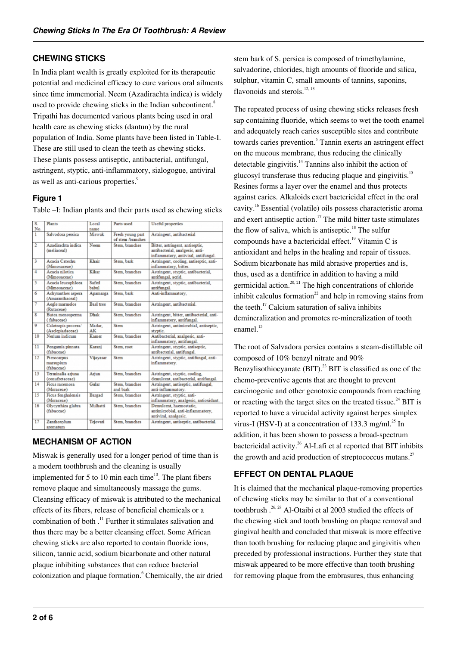### **CHEWING STICKS**

In India plant wealth is greatly exploited for its therapeutic potential and medicinal efficacy to cure various oral ailments since time immemorial. Neem (Azadirachta indica) is widely used to provide chewing sticks in the Indian subcontinent.<sup>8</sup> Tripathi has documented various plants being used in oral health care as chewing sticks (dantun) by the rural population of India. Some plants have been listed in Table-I. These are still used to clean the teeth as chewing sticks. These plants possess antiseptic, antibacterial, antifungal, astringent, styptic, anti-inflammatory, sialogogue, antiviral as well as anti-carious properties.<sup>9</sup>

#### **Figure 1**

Table –I: Indian plants and their parts used as chewing sticks

| S.              | Plants                                  | Local                 | Parts used                            | <b>Useful</b> properties                                                                                   |
|-----------------|-----------------------------------------|-----------------------|---------------------------------------|------------------------------------------------------------------------------------------------------------|
| No.             |                                         | name                  |                                       |                                                                                                            |
| 1               | Salvodora persica                       | Miswak                | Fresh young part<br>of stem /branches | Astringent, antibacterial                                                                                  |
| $\overline{2}$  | Azadirachta indica<br>(meliaceal)       | Neem                  | Stem, branches                        | Bitter, astringent, antiseptic,<br>antibacterial, analgesic, anti-<br>inflammatory, antiviral, antifungal. |
| 3               | Acacia Catechu<br>(Mimosaceae)          | Khair                 | Stem, bark                            | Astringent, cooling, antiseptic, anti-<br>inflammatory, bitter.                                            |
| 4               | Acacia nilotica<br>(Mimosaceae)         | Kikar                 | Stem, branches                        | Astringent, styptic, antibacterial,<br>antifungal, acrid.                                                  |
| 5               | Acacia leucophloea<br>(Mimosaceae)      | Safed<br><b>babul</b> | Stem, branches                        | Astringent, styptic, antibacterial,<br>antifungal.                                                         |
| 6               | Achyranthes aspera<br>(Amaranthaceal)   | Apamarga              | Stem, bark                            | Anti-inflammatory,                                                                                         |
| 7               | Aegle marmelos<br>(Rutaceae)            | <b>Bael</b> tree      | Stem, branches                        | Astringent, antibacterial.                                                                                 |
| 8               | Butea monosperma<br>(fabaceae)          | Dhak                  | Stem, branches                        | Astringent, bitter, antibacterial, anti-<br>inflammatory, antifungal.                                      |
| 9               | Calotropis procera/<br>(Asclepiadaceae) | Madar.<br>AK          | Stem                                  | Astringent, antimicrobial, antiseptic,<br>styptic.                                                         |
| 10              | Nerium indicum                          | Kamer                 | Stem, branches                        | Antibacterial, analgesic, anti-<br>inflammatory, antifungal.                                               |
| 11              | Pongamia pinnata<br>(fabaceae)          | Karanj                | Stem, root                            | Astringent, styptic, antiseptic,<br>antibacterial, antifungal.                                             |
| $\overline{12}$ | Pterocarpus<br>marsupium<br>(fabaceae)  | Vijayasar             | Stem                                  | Astringent, styptic, antifungal, anti-<br>inflammatory.                                                    |
| 13              | Terminalia ariuna<br>(conufretaceae)    | Ariun                 | Stem, branches                        | Astringent, styptic, cooling,<br>demulcent, antibacterial, antifungal.                                     |
| 14              | Ficus racemosa<br>(Moraceae)            | Gular                 | Stem, branches<br>and bark            | Astringent, antiseptic, antifungal,<br>anti-inflammatory.                                                  |
| 15              | Ficus fenghalensis<br>(Moraceae)        | <b>Bargad</b>         | Stem, branches                        | Astringent, styptic, anti-<br>inflammatory, analgesic, antioxidant.                                        |
| 16              | Glycynhiza glabra<br>(fabaceae)         | Mulhatti              | Stem, branches                        | Demulcent, haemostatic.<br>antimicrobial, anti-inflammatory,<br>antiviral, analgesic.                      |
| 17              | Zanthoxylum<br>scomstum                 | Tejovati              | Stem, branches                        | Astringent, antiseptic, antibacterial.                                                                     |

## **MECHANISM OF ACTION**

Miswak is generally used for a longer period of time than is a modern toothbrush and the cleaning is usually implemented for 5 to 10 min each time<sup>10</sup>. The plant fibers remove plaque and simultaneously massage the gums. Cleansing efficacy of miswak is attributed to the mechanical effects of its fibers, release of beneficial chemicals or a combination of both .<sup>11</sup> Further it stimulates salivation and thus there may be a better cleansing effect. Some African chewing sticks are also reported to contain fluoride ions, silicon, tannic acid, sodium bicarbonate and other natural plaque inhibiting substances that can reduce bacterial colonization and plaque formation.<sup>6</sup> Chemically, the air dried stem bark of S. persica is composed of trimethylamine, salvadorine, chlorides, high amounts of fluoride and silica, sulphur, vitamin C, small amounts of tannins, saponins, flavonoids and sterols. $12, 13$ 

The repeated process of using chewing sticks releases fresh sap containing fluoride, which seems to wet the tooth enamel and adequately reach caries susceptible sites and contribute towards caries prevention.<sup>5</sup> Tannin exerts an astringent effect on the mucous membrane, thus reducing the clinically detectable gingivitis. $14$  Tannins also inhibit the action of glucosyl transferase thus reducing plaque and gingivitis.<sup>15</sup> Resines forms a layer over the enamel and thus protects against caries. Alkaloids exert bactericidal effect in the oral cavity.<sup>16</sup> Essential (volatile) oils possess characteristic aroma and exert antiseptic action.<sup>17</sup> The mild bitter taste stimulates the flow of saliva, which is antiseptic. $18$  The sulfur compounds have a bactericidal effect.<sup>19</sup> Vitamin C is antioxidant and helps in the healing and repair of tissues. Sodium bicarbonate has mild abrasive properties and is, thus, used as a dentifrice in addition to having a mild germicidal action.<sup>20, 21</sup> The high concentrations of chloride inhibit calculus formation<sup>22</sup> and help in removing stains from the teeth.<sup>17</sup> Calcium saturation of saliva inhibits demineralization and promotes re-mineralization of tooth enamel.<sup>15</sup>

The root of Salvadora persica contains a steam-distillable oil composed of 10% benzyl nitrate and 90% Benzylisothiocyanate  $(BIT)$ .<sup>23</sup> BIT is classified as one of the chemo-preventive agents that are thought to prevent carcinogenic and other genotoxic compounds from reaching or reacting with the target sites on the treated tissue.<sup>24</sup> BIT is reported to have a virucidal activity against herpes simplex virus-I (HSV-I) at a concentration of 133.3 mg/ml.<sup>25</sup> In addition, it has been shown to possess a broad-spectrum bactericidal activity.<sup>26</sup> Al-Lafi et al reported that BIT inhibits the growth and acid production of streptococcus mutans.<sup>27</sup>

## **EFFECT ON DENTAL PLAQUE**

It is claimed that the mechanical plaque-removing properties of chewing sticks may be similar to that of a conventional toothbrush  $^{26, 28}$  Al-Otaibi et al 2003 studied the effects of the chewing stick and tooth brushing on plaque removal and gingival health and concluded that miswak is more effective than tooth brushing for reducing plaque and gingivitis when preceded by professional instructions. Further they state that miswak appeared to be more effective than tooth brushing for removing plaque from the embrasures, thus enhancing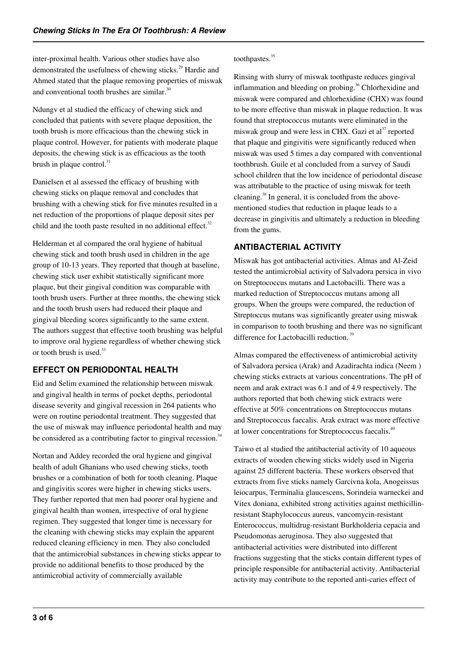inter-proximal health. Various other studies have also demonstrated the usefulness of chewing sticks.<sup>29</sup> Hardie and Ahmed stated that the plaque removing properties of miswak and conventional tooth brushes are similar.<sup>30</sup>

Ndungv et al studied the efficacy of chewing stick and concluded that patients with severe plaque deposition, the tooth brush is more efficacious than the chewing stick in plaque control. However, for patients with moderate plaque deposits, the chewing stick is as efficacious as the tooth brush in plaque control. $31$ 

Danielsen et al assessed the efficacy of brushing with chewing sticks on plaque removal and concludes that brushing with a chewing stick for five minutes resulted in a net reduction of the proportions of plaque deposit sites per child and the tooth paste resulted in no additional effect. $32$ 

Helderman et al compared the oral hygiene of habitual chewing stick and tooth brush used in children in the age group of 10-13 years. They reported that though at baseline, chewing stick user exhibit statistically significant more plaque, but their gingival condition was comparable with tooth brush users. Further at three months, the chewing stick and the tooth brush users had reduced their plaque and gingival bleeding scores significantly to the same extent. The authors suggest that effective tooth brushing was helpful to improve oral hygiene regardless of whether chewing stick or tooth brush is used.<sup>33</sup>

## **EFFECT ON PERIODONTAL HEALTH**

Eid and Selim examined the relationship between miswak and gingival health in terms of pocket depths, periodontal disease severity and gingival recession in 264 patients who were on routine periodontal treatment. They suggested that the use of miswak may influence periodontal health and may be considered as a contributing factor to gingival recession.<sup>34</sup>

Nortan and Addey recorded the oral hygiene and gingival health of adult Ghanians who used chewing sticks, tooth brushes or a combination of both for tooth cleaning. Plaque and gingivitis scores were higher in chewing sticks users. They further reported that men had poorer oral hygiene and gingival health than women, irrespective of oral hygiene regimen. They suggested that longer time is necessary for the cleaning with chewing sticks may explain the apparent reduced cleaning efficiency in men. They also concluded that the antimicrobial substances in chewing sticks appear to provide no additional benefits to those produced by the antimicrobial activity of commercially available

#### toothpastes.<sup>35</sup>

Rinsing with slurry of miswak toothpaste reduces gingival inflammation and bleeding on probing.<sup>36</sup> Chlorhexidine and miswak were compared and chlorhexidine (CHX) was found to be more effective than miswak in plaque reduction. It was found that streptococcus mutants were eliminated in the miswak group and were less in CHX. Gazi et al $^{37}$  reported that plaque and gingivitis were significantly reduced when miswak was used 5 times a day compared with conventional toothbrush. Guile et al concluded from a survey of Saudi school children that the low incidence of periodontal disease was attributable to the practice of using miswak for teeth cleaning.<sup>38</sup> In general, it is concluded from the abovementioned studies that reduction in plaque leads to a decrease in gingivitis and ultimately a reduction in bleeding from the gums.

## **ANTIBACTERIAL ACTIVITY**

Miswak has got antibacterial activities. Almas and Al-Zeid tested the antimicrobial activity of Salvadora persica in vivo on Streptococcus mutans and Lactobacilli. There was a marked reduction of Streptococcus mutans among all groups. When the groups were compared, the reduction of Streptoccus mutans was significantly greater using miswak in comparison to tooth brushing and there was no significant difference for Lactobacilli reduction.<sup>39</sup>

Almas compared the effectiveness of antimicrobial activity of Salvadora persica (Arak) and Azadirachta indica (Neem ) chewing sticks extracts at various concentrations. The pH of neem and arak extract was 6.1 and of 4.9 respectively. The authors reported that both chewing stick extracts were effective at 50% concentrations on Streptococcus mutans and Streptococcus faecalis. Arak extract was more effective at lower concentrations for Streptococcus faecalis.<sup>40</sup>

Taiwo et al studied the antibacterial activity of 10 aqueous extracts of wooden chewing sticks widely used in Nigeria against 25 different bacteria. These workers observed that extracts from five sticks namely Garcivna kola, Anogeissus leiocarpus, Terminalia glaucescens, Sorindeia warneckei and Vitex doniana, exhibited strong activities against methicillinresistant Staphylococcus aureus, vancomycin-resistant Enterococcus, multidrug-resistant Burkholderia cepacia and Pseudomonas aeruginosa. They also suggested that antibacterial activities were distributed into different fractions suggesting that the sticks contain different types of principle responsible for antibacterial activity. Antibacterial activity may contribute to the reported anti-caries effect of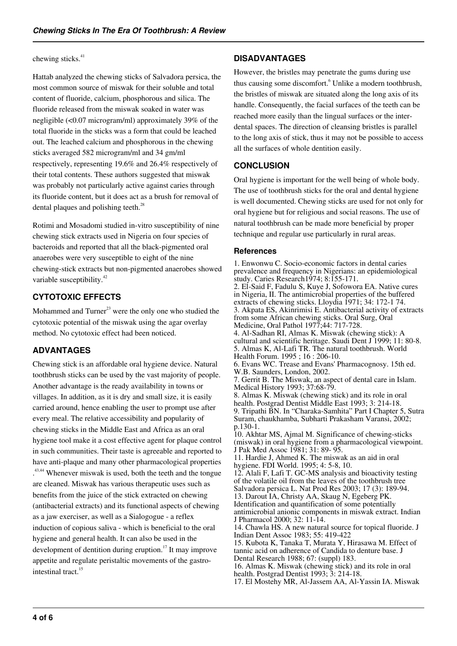#### chewing sticks.<sup>41</sup>

Hattab analyzed the chewing sticks of Salvadora persica, the most common source of miswak for their soluble and total content of fluoride, calcium, phosphorous and silica. The fluoride released from the miswak soaked in water was negligible (<0.07 microgram/ml) approximately 39% of the total fluoride in the sticks was a form that could be leached out. The leached calcium and phosphorous in the chewing sticks averaged 582 microgram/ml and 34 gm/ml respectively, representing 19.6% and 26.4% respectively of their total contents. These authors suggested that miswak was probably not particularly active against caries through its fluoride content, but it does act as a brush for removal of dental plaques and polishing teeth.<sup>28</sup>

Rotimi and Mosadomi studied in-vitro susceptibility of nine chewing stick extracts used in Nigeria on four species of bacteroids and reported that all the black-pigmented oral anaerobes were very susceptible to eight of the nine chewing-stick extracts but non-pigmented anaerobes showed variable susceptibility.<sup>42</sup>

## **CYTOTOXIC EFFECTS**

Mohammed and Turner $^{23}$  were the only one who studied the cytotoxic potential of the miswak using the agar overlay method. No cytotoxic effect had been noticed.

## **ADVANTAGES**

Chewing stick is an affordable oral hygiene device. Natural toothbrush sticks can be used by the vast majority of people. Another advantage is the ready availability in towns or villages. In addition, as it is dry and small size, it is easily carried around, hence enabling the user to prompt use after every meal. The relative accessibility and popularity of chewing sticks in the Middle East and Africa as an oral hygiene tool make it a cost effective agent for plaque control in such communities. Their taste is agreeable and reported to have anti-plaque and many other pharmacological properties <sup>43,44</sup> Whenever miswak is used, both the teeth and the tongue are cleaned. Miswak has various therapeutic uses such as benefits from the juice of the stick extracted on chewing (antibacterial extracts) and its functional aspects of chewing as a jaw exerciser, as well as a Sialogogue - a reflex induction of copious saliva - which is beneficial to the oral hygiene and general health. It can also be used in the development of dentition during eruption.<sup>17</sup> It may improve appetite and regulate peristaltic movements of the gastrointestinal tract.<sup>15</sup>

#### **DISADVANTAGES**

However, the bristles may penetrate the gums during use thus causing some discomfort.<sup>6</sup> Unlike a modern toothbrush, the bristles of miswak are situated along the long axis of its handle. Consequently, the facial surfaces of the teeth can be reached more easily than the lingual surfaces or the interdental spaces. The direction of cleansing bristles is parallel to the long axis of stick, thus it may not be possible to access all the surfaces of whole dentition easily.

#### **CONCLUSION**

Oral hygiene is important for the well being of whole body. The use of toothbrush sticks for the oral and dental hygiene is well documented. Chewing sticks are used for not only for oral hygiene but for religious and social reasons. The use of natural toothbrush can be made more beneficial by proper technique and regular use particularly in rural areas.

#### **References**

1. Enwonwu C. Socio-economic factors in dental caries prevalence and frequency in Nigerians: an epidemiological study. Caries Research1974; 8:155-171. 2. El-Said F, Fadulu S, Kuye J, Sofowora EA. Native cures in Nigeria, II. The antimicrobial properties of the buffered extracts of chewing sticks. Lloydia 1971; 34: 172-1 74. 3. Akpata ES, Akinrimisi E. Antibacterial activity of extracts from some African chewing sticks. Oral Surg, Oral Medicine, Oral Pathol 1977;44: 717-728. 4. Al-Sadhan RI, Almas K. Miswak (chewing stick): A cultural and scientific heritage. Saudi Dent J 1999; 11: 80-8. 5. Almas K, Al-Lafi TR. The natural toothbrush. World Health Forum. 1995 ; 16 : 206-10. 6. Evans WC. Trease and Evans' Pharmacognosy. 15th ed. W.B. Saunders, London, 2002. 7. Gerrit B. The Miswak, an aspect of dental care in Islam. Medical History 1993; 37:68-79. 8. Almas K. Miswak (chewing stick) and its role in oral health. Postgrad Dentist Middle East 1993; 3: 214-18. 9. Tripathi BN. In "Charaka-Samhita" Part I Chapter 5, Sutra Suram, chaukhamba, Subharti Prakasham Varansi, 2002; p.130-1. 10. Akhtar MS, Ajmal M. Significance of chewing-sticks (miswak) in oral hygiene from a pharmacological viewpoint. J Pak Med Assoc 1981; 31: 89- 95. 11. Hardie J, Ahmed K. The miswak as an aid in oral hygiene. FDI World. 1995; 4: 5-8, 10. 12. Alali F, Lafi T. GC-MS analysis and bioactivity testing of the volatile oil from the leaves of the toothbrush tree Salvadora persica L. Nat Prod Res 2003; 17 (3): 189-94. 13. Darout IA, Christy AA, Skaug N, Egeberg PK. Identification and quantification of some potentially antimicrobial anionic components in miswak extract. Indian J Pharmacol 2000; 32: 11-14. 14. Chawla HS. A new natural source for topical fluoride. J Indian Dent Assoc 1983; 55: 419-422 15. Kubota K, Tanaka T, Murata Y, Hirasawa M. Effect of tannic acid on adherence of Candida to denture base. J Dental Research 1988; 67: (suppl) 183.

16. Almas K. Miswak (chewing stick) and its role in oral health. Postgrad Dentist 1993; 3: 214-18.

17. El Mostehy MR, Al-Jassem AA, Al-Yassin IA. Miswak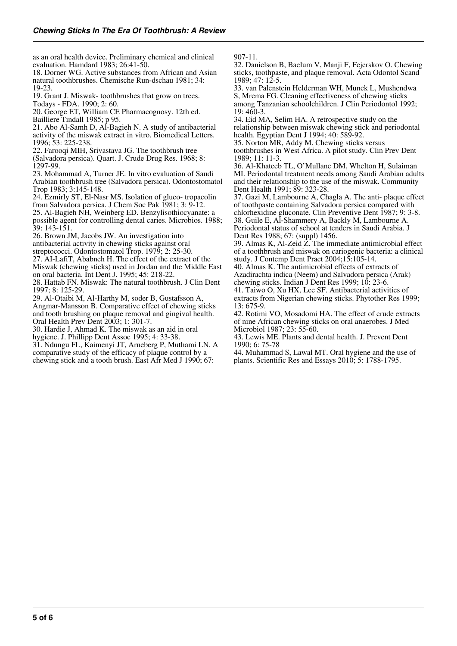as an oral health device. Preliminary chemical and clinical evaluation. Hamdard 1983; 26:41-50.

18. Dorner WG. Active substances from African and Asian natural toothbrushes. Chemische Run-dschau 1981; 34: 19-23.

19. Grant J. Miswak- toothbrushes that grow on trees. Todays - FDA. 1990; 2: 60.

20. George ET, William CE Pharmacognosy. 12th ed. Bailliere Tindall 1985; p 95.

21. Abo Al-Samh D, Al-Bagieh N. A study of antibacterial activity of the miswak extract in vitro. Biomedical Letters. 1996; 53: 225-238.

22. Farooqi MIH, Srivastava JG. The toothbrush tree (Salvadora persica). Quart. J. Crude Drug Res. 1968; 8: 1297-99.

23. Mohammad A, Turner JE. In vitro evaluation of Saudi Arabian toothbrush tree (Salvadora persica). Odontostomatol Trop 1983; 3:145-148.

24. Ezmirly ST, El-Nasr MS. Isolation of gluco- tropaeolin from Salvadora persica. J Chem Soc Pak 1981; 3: 9-12.

25. Al-Bagieh NH, Weinberg ED. Benzylisothiocyanate: a possible agent for controlling dental caries. Microbios. 1988; 39: 143-151.

26. Brown JM, Jacobs JW. An investigation into

antibacterial activity in chewing sticks against oral

streptococci. Odontostomatol Trop. 1979; 2: 25-30.

27. AI-LafiT, Ababneh H. The effect of the extract of the Miswak (chewing sticks) used in Jordan and the Middle East

on oral bacteria. Int Dent J. 1995; 45: 218-22.

28. Hattab FN. Miswak: The natural toothbrush. J Clin Dent 1997; 8: 125-29.

29. Al-Otaibi M, Al-Harthy M, soder B, Gustafsson A, Angmar-Mansson B. Comparative effect of chewing sticks and tooth brushing on plaque removal and gingival health. Oral Health Prev Dent 2003; 1: 301-7.

30. Hardie J, Ahmad K. The miswak as an aid in oral hygiene. J. Phillipp Dent Assoc 1995; 4: 33-38.

31. Ndungu FL, Kaimenyi JT, Arneberg P, Muthami LN. A comparative study of the efficacy of plaque control by a chewing stick and a tooth brush. East Afr Med J 1990; 67:

907-11.

32. Danielson B, Baelum V, Manji F, Fejerskov O. Chewing sticks, toothpaste, and plaque removal. Acta Odontol Scand 1989; 47: 12-5.

33. van Palenstein Helderman WH, Munck L, Mushendwa S, Mrema FG. Cleaning effectiveness of chewing sticks among Tanzanian schoolchildren. J Clin Periodontol 1992; 19: 460-3.

34. Eid MA, Selim HA. A retrospective study on the relationship between miswak chewing stick and periodontal health. Egyptian Dent J 1994; 40: 589-92.

35. Norton MR, Addy M. Chewing sticks versus toothbrushes in West Africa. A pilot study. Clin Prev Dent

1989; 11: 11-3. 36. Al-Khateeb TL, O'Mullane DM, Whelton H, Sulaiman MI. Periodontal treatment needs among Saudi Arabian adults and their relationship to the use of the miswak. Community Dent Health 1991; 89: 323-28.

37. Gazi M, Lambourne A, Chagla A. The anti- plaque effect of toothpaste containing Salvadora persica compared with chlorhexidine gluconate. Clin Preventive Dent 1987; 9: 3-8. 38. Guile E, Al-Shammery A, Backly M, Lambourne A. Periodontal status of school at tenders in Saudi Arabia. J Dent Res 1988; 67: (suppl) 1456.

39. Almas K, Al-Zeid Z. The immediate antimicrobial effect of a toothbrush and miswak on cariogenic bacteria: a clinical study. J Contemp Dent Pract 2004;15:105-14.

40. Almas K. The antimicrobial effects of extracts of Azadirachta indica (Neem) and Salvadora persica (Arak) chewing sticks. Indian J Dent Res 1999; 10: 23-6.

41. Taiwo O, Xu HX, Lee SF. Antibacterial activities of extracts from Nigerian chewing sticks. Phytother Res 1999; 13: 675-9.

42. Rotimi VO, Mosadomi HA. The effect of crude extracts of nine African chewing sticks on oral anaerobes. J Med Microbiol 1987; 23: 55-60.

43. Lewis ME. Plants and dental health. J. Prevent Dent 1990; 6: 75-78

44. Muhammad S, Lawal MT. Oral hygiene and the use of plants. Scientific Res and Essays 2010; 5: 1788-1795.